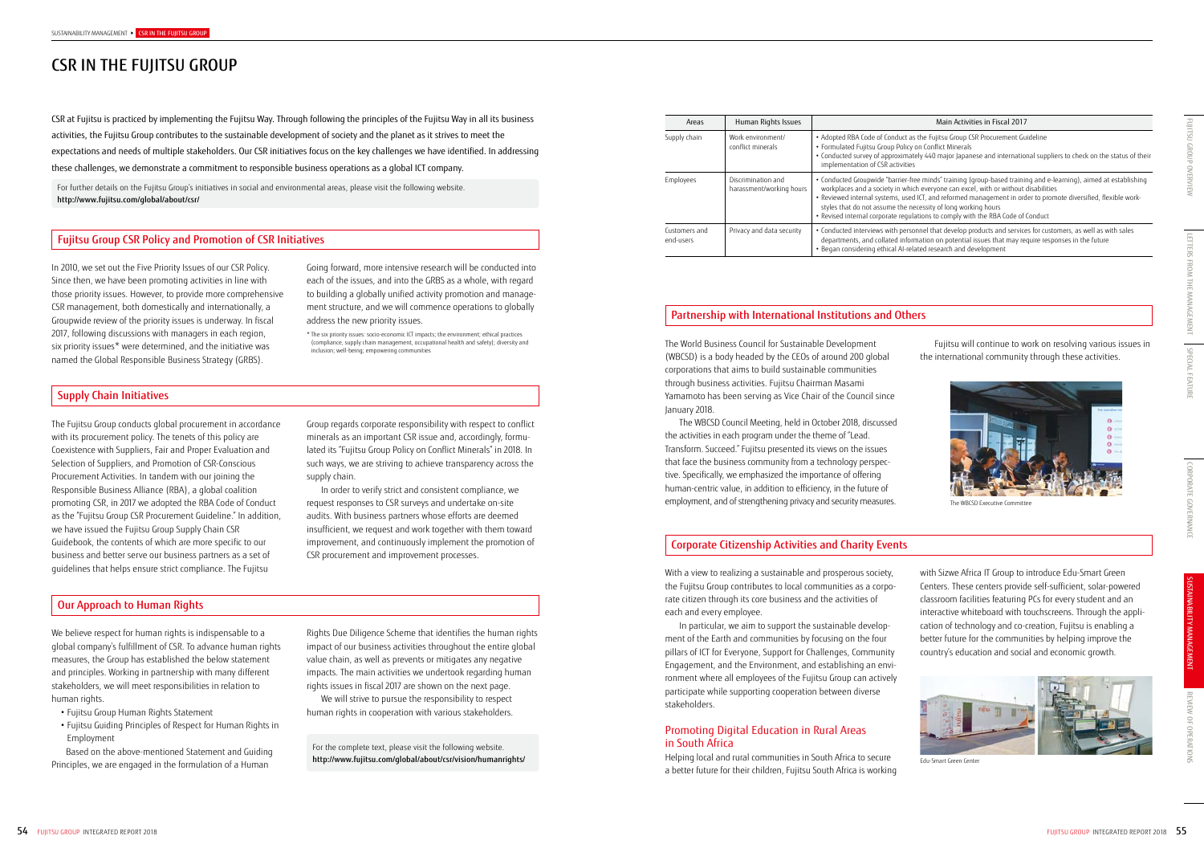# CSR IN THE FUJITSU GROUP

## Fujitsu Group CSR Policy and Promotion of CSR Initiatives

## Supply Chain Initiatives

#### Our Approach to Human Rights

# Partnership with International Institutions and Others

In 2010, we set out the Five Priority Issues of our CSR Policy. Since then, we have been promoting activities in line with those priority issues. However, to provide more comprehensive CSR management, both domestically and internationally, a Groupwide review of the priority issues is underway. In fiscal 2017, following discussions with managers in each region, six priority issues\* were determined, and the initiative was named the Global Responsible Business Strategy (GRBS).

We believe respect for human rights is indispensable to a global company's fulfillment of CSR. To advance human rights measures, the Group has established the below statement and principles. Working in partnership with many different stakeholders, we will meet responsibilities in relation to human rights.

The Fujitsu Group conducts global procurement in accordance with its procurement policy. The tenets of this policy are Coexistence with Suppliers, Fair and Proper Evaluation and Selection of Suppliers, and Promotion of CSR-Conscious Procurement Activities. In tandem with our joining the Responsible Business Alliance (RBA), a global coalition promoting CSR, in 2017 we adopted the RBA Code of Conduct as the "Fujitsu Group CSR Procurement Guideline." In addition, we have issued the Fujitsu Group Supply Chain CSR Guidebook, the contents of which are more specific to our business and better serve our business partners as a set of guidelines that helps ensure strict compliance. The Fujitsu

- Fujitsu Group Human Rights Statement
- Fujitsu Guiding Principles of Respect for Human Rights in Employment

Based on the above-mentioned Statement and Guiding Principles, we are engaged in the formulation of a Human

The World Business Council for Sustainable Development (WBCSD) is a body headed by the CEOs of around 200 global corporations that aims to build sustainable communities through business activities. Fujitsu Chairman Masami Yamamoto has been serving as Vice Chair of the Council since January 2018.

The WBCSD Council Meeting, held in October 2018, discussed the activities in each program under the theme of "Lead. Transform. Succeed." Fujitsu presented its views on the issues that face the business community from a technology perspective. Specifically, we emphasized the importance of offering human-centric value, in addition to efficiency, in the future of employment, and of strengthening privacy and security measures.

Fujitsu will continue to work on resolving various issues in the international community through these activities.



Going forward, more intensive research will be conducted into each of the issues, and into the GRBS as a whole, with regard to building a globally unified activity promotion and management structure, and we will commence operations to globally address the new priority issues.

\* The six priority issues: socio-economic ICT impacts; the environment; ethical practices (compliance, supply chain management, occupational health and safety); diversity and inclusion; well-being; empowering communities

Group regards corporate responsibility with respect to conflict minerals as an important CSR issue and, accordingly, formulated its "Fujitsu Group Policy on Conflict Minerals" in 2018. In such ways, we are striving to achieve transparency across the supply chain.

In order to verify strict and consistent compliance, we request responses to CSR surveys and undertake on-site audits. With business partners whose efforts are deemed insufficient, we request and work together with them toward improvement, and continuously implement the promotion of CSR procurement and improvement processes.

#### Main Activities in Fiscal 2017

as the Fujitsu Group CSR Procurement Guideline

cy on Conflict Minerals

.<br>• About 440 major Japanese and international suppliers to check on the status of their

free minds" training (group-based training and e-learning), aimed at establishing hich everyone can excel, with or without disabilities

sed ICT, and reformed management in order to promote diversified, flexible worknecessity of long working hours

Rights Due Diligence Scheme that identifies the human rights impact of our business activities throughout the entire global value chain, as well as prevents or mitigates any negative impacts. The main activities we undertook regarding human rights issues in fiscal 2017 are shown on the next page.

We will strive to pursue the responsibility to respect human rights in cooperation with various stakeholders.

For the complete text, please visit the following website. http://www.fujitsu.com/global/about/csr/vision/humanrights/

CSR at Fujitsu is practiced by implementing the Fujitsu Way. Through following the principles of the Fujitsu Way in all its business activities, the Fujitsu Group contributes to the sustainable development of society and the planet as it strives to meet the expectations and needs of multiple stakeholders. Our CSR initiatives focus on the key challenges we have identified. In addressing these challenges, we demonstrate a commitment to responsible business operations as a global ICT company.

For further details on the Fujitsu Group's initiatives in social and environmental areas, please visit the following website. http://www.fujitsu.com/global/about/csr/

| Areas                      | Human Rights Issues                            |                                                                                                                                                                                       |
|----------------------------|------------------------------------------------|---------------------------------------------------------------------------------------------------------------------------------------------------------------------------------------|
| Supply chain               | Work environment/<br>conflict minerals         | • Adopted RBA Code of Conduct as<br>• Formulated Fujitsu Group Policy<br>• Conducted survey of approximat<br>implementation of CSR activities                                         |
| Employees                  | Discrimination and<br>harassment/working hours | · Conducted Groupwide "barrier-fr<br>workplaces and a society in whic<br>• Reviewed internal systems, used<br>styles that do not assume the ne<br>· Revised internal corporate regula |
| Customers and<br>end-users | Privacy and data security                      | • Conducted interviews with perso<br>departments, and collated inforr<br>· Began considering ethical AI-reli                                                                          |

• Revised internal corporate regulations to comply with the RBA Code of Conduct

ersonnel that develop products and services for customers, as well as with sales ormation on potential issues that may require responses in the future related research and development

### Corporate Citizenship Activities and Charity Events

With a view to realizing a sustainable and prosperous society, the Fujitsu Group contributes to local communities as a corporate citizen through its core business and the activities of each and every employee.

In particular, we aim to support the sustainable development of the Earth and communities by focusing on the four pillars of ICT for Everyone, Support for Challenges, Community Engagement, and the Environment, and establishing an environment where all employees of the Fujitsu Group can actively participate while supporting cooperation between diverse stakeholders.

# Promoting Digital Education in Rural Areas in South Africa

Helping local and rural communities in South Africa to secure a better future for their children, Fujitsu South Africa is working with Sizwe Africa IT Group to introduce Edu-Smart Green Centers. These centers provide self-sufficient, solar-powered classroom facilities featuring PCs for every student and an interactive whiteboard with touchscreens. Through the application of technology and co-creation, Fujitsu is enabling a better future for the communities by helping improve the country's education and social and economic growth.



Edu-Smart Green Center

The WBCSD Executive Committee